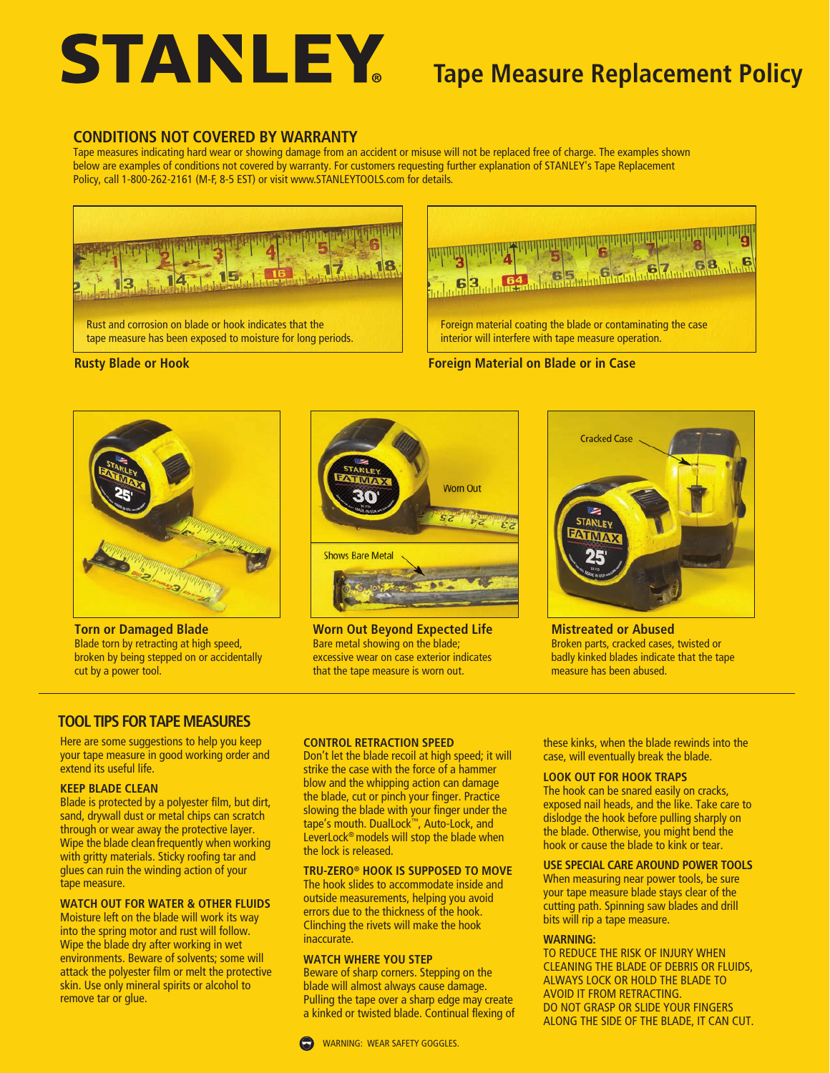# **STANLEY**

# **Tape Measure Replacement Policy**

## **CONDITIONS NOT COVERED BY WARRANTY**

Tape measures indicating hard wear or showing damage from an accident or misuse will not be replaced free of charge. The examples shown below are examples of conditions not covered by warranty. For customers requesting further explanation of STANLEY's Tape Replacement Policy, call 1-800-262-2161 (M-F, 8-5 EST) or visit www.STANLEYTOOLS.com for details.





**Foreign Material on Blade or in Case**

**Rusty Blade or Hook**



**Torn or Damaged Blade** Blade torn by retracting at high speed, broken by being stepped on or accidentally cut by a power tool.



**Worn Out Beyond Expected Life** Bare metal showing on the blade; excessive wear on case exterior indicates that the tape measure is worn out.



**Mistreated or Abused** Broken parts, cracked cases, twisted or badly kinked blades indicate that the tape measure has been abused.

# **TOOL TIPS FOR TAPE MEASURES**

Here are some suggestions to help you keep your tape measure in good working order and extend its useful life.

#### **KEEP BLADE CLEAN**

Blade is protected by a polyester film, but dirt, sand, drywall dust or metal chips can scratch through or wear away the protective layer. Wipe the blade clean frequently when working with gritty materials. Sticky roofing tar and glues can ruin the winding action of your tape measure.

#### **WATCH OUT FOR WATER & OTHER FLUIDS**

Moisture left on the blade will work its way into the spring motor and rust will follow. Wipe the blade dry after working in wet environments. Beware of solvents; some will attack the polyester film or melt the protective skin. Use only mineral spirits or alcohol to remove tar or glue.

#### **CONTROL RETRACTION SPEED**

Don't let the blade recoil at high speed; it will strike the case with the force of a hammer blow and the whipping action can damage the blade, cut or pinch your finger. Practice slowing the blade with your finger under the tape's mouth. DualLock™, Auto-Lock, and LeverLock® models will stop the blade when the lock is released.

#### **TRU-ZERO® HOOK IS SUPPOSED TO MOVE**

The hook slides to accommodate inside and outside measurements, helping you avoid errors due to the thickness of the hook. Clinching the rivets will make the hook **inaccurate** 

#### **WATCH WHERE YOU STEP**

Beware of sharp corners. Stepping on the blade will almost always cause damage. Pulling the tape over a sharp edge may create a kinked or twisted blade. Continual flexing of these kinks, when the blade rewinds into the case, will eventually break the blade.

#### **LOOK OUT FOR HOOK TRAPS**

The hook can be snared easily on cracks, exposed nail heads, and the like. Take care to dislodge the hook before pulling sharply on the blade. Otherwise, you might bend the hook or cause the blade to kink or tear.

#### **USE SPECIAL CARE AROUND POWER TOOLS**

When measuring near power tools, be sure your tape measure blade stays clear of the cutting path. Spinning saw blades and drill bits will rip a tape measure.

#### **WARNING:**

TO REDUCE THE RISK OF INJURY WHEN CLEANING THE BLADE OF DEBRIS OR FLUIDS, ALWAYS LOCK OR HOLD THE BLADE TO AVOID IT FROM RETRACTING. DO NOT GRASP OR SLIDE YOUR FINGERS ALONG THE SIDE OF THE BLADE, IT CAN CUT.